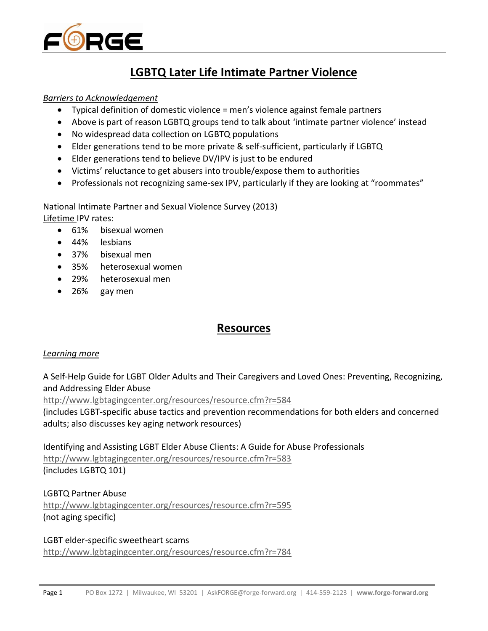

# **LGBTQ Later Life Intimate Partner Violence**

#### *Barriers to Acknowledgement*

- Typical definition of domestic violence = men's violence against female partners
- Above is part of reason LGBTQ groups tend to talk about 'intimate partner violence' instead
- No widespread data collection on LGBTQ populations
- Elder generations tend to be more private & self-sufficient, particularly if LGBTQ
- Elder generations tend to believe DV/IPV is just to be endured
- Victims' reluctance to get abusers into trouble/expose them to authorities
- Professionals not recognizing same-sex IPV, particularly if they are looking at "roommates"

National Intimate Partner and Sexual Violence Survey (2013)

Lifetime IPV rates:

- 61% bisexual women
- 44% lesbians
- 37% bisexual men
- 35% heterosexual women
- 29% heterosexual men
- 26% gay men

# **Resources**

#### *Learning more*

A Self-Help Guide for LGBT Older Adults and Their Caregivers and Loved Ones: Preventing, Recognizing, and Addressing Elder Abuse

<http://www.lgbtagingcenter.org/resources/resource.cfm?r=584>

(includes LGBT-specific abuse tactics and prevention recommendations for both elders and concerned adults; also discusses key aging network resources)

Identifying and Assisting LGBT Elder Abuse Clients: A Guide for Abuse Professionals <http://www.lgbtagingcenter.org/resources/resource.cfm?r=583> (includes LGBTQ 101)

LGBTQ Partner Abuse <http://www.lgbtagingcenter.org/resources/resource.cfm?r=595> (not aging specific)

LGBT elder-specific sweetheart scams <http://www.lgbtagingcenter.org/resources/resource.cfm?r=784>